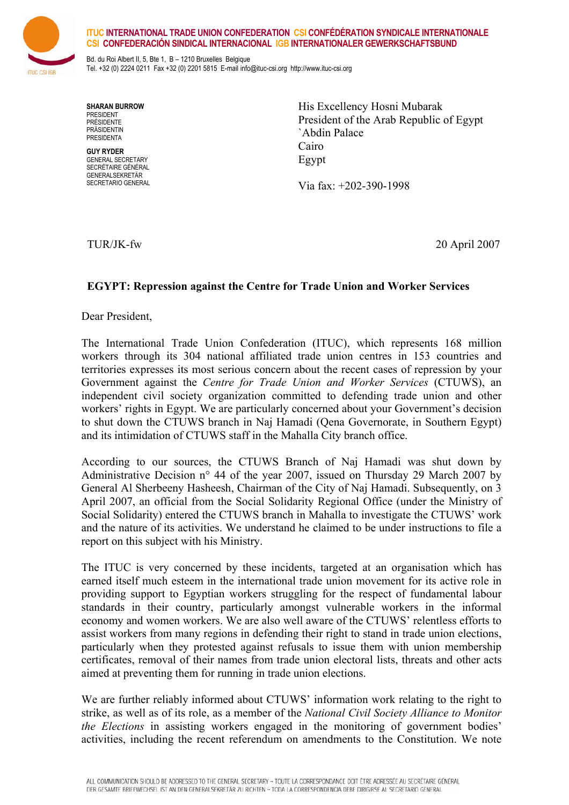

## **ITUC INTERNATIONAL TRADE UNION CONFEDERATION CSI CONFÉDÉRATION SYNDICALE INTERNATIONALE CSI CONFEDERACIÓN SINDICAL INTERNACIONAL IGB INTERNATIONALER GEWERKSCHAFTSBUND**

Bd. du Roi Albert II, 5, Bte 1, B – 1210 Bruxelles Belgique Tel. +32 (0) 2224 0211 Fax +32 (0) 2201 5815 E-mail info@ituc-csi.org http://www.ituc-csi.org

**SHARAN BURROW**  *<u>DDESIDENT</u>* PRÉSIDENTE PRÄSIDENTIN PRESIDENTA

**GUY RYDER**  GENERAL SECRETARY SECRÉTAIRE GÉNÉRAL GENERALSEKRETÄR SECRETARIO GENERAL His Excellency Hosni Mubarak President of the Arab Republic of Egypt `Abdin Palace Cairo Egypt

Via fax: +202-390-1998

TUR/JK-fw 20 April 2007

## **EGYPT: Repression against the Centre for Trade Union and Worker Services**

Dear President,

The International Trade Union Confederation (ITUC), which represents 168 million workers through its 304 national affiliated trade union centres in 153 countries and territories expresses its most serious concern about the recent cases of repression by your Government against the *Centre for Trade Union and Worker Services* (CTUWS), an independent civil society organization committed to defending trade union and other workers' rights in Egypt. We are particularly concerned about your Government's decision to shut down the CTUWS branch in Naj Hamadi (Qena Governorate, in Southern Egypt) and its intimidation of CTUWS staff in the Mahalla City branch office.

According to our sources, the CTUWS Branch of Naj Hamadi was shut down by Administrative Decision n° 44 of the year 2007, issued on Thursday 29 March 2007 by General Al Sherbeeny Hasheesh, Chairman of the City of Naj Hamadi. Subsequently, on 3 April 2007, an official from the Social Solidarity Regional Office (under the Ministry of Social Solidarity) entered the CTUWS branch in Mahalla to investigate the CTUWS' work and the nature of its activities. We understand he claimed to be under instructions to file a report on this subject with his Ministry.

The ITUC is very concerned by these incidents, targeted at an organisation which has earned itself much esteem in the international trade union movement for its active role in providing support to Egyptian workers struggling for the respect of fundamental labour standards in their country, particularly amongst vulnerable workers in the informal economy and women workers. We are also well aware of the CTUWS' relentless efforts to assist workers from many regions in defending their right to stand in trade union elections, particularly when they protested against refusals to issue them with union membership certificates, removal of their names from trade union electoral lists, threats and other acts aimed at preventing them for running in trade union elections.

We are further reliably informed about CTUWS' information work relating to the right to strike, as well as of its role, as a member of the *National Civil Society Alliance to Monitor the Elections* in assisting workers engaged in the monitoring of government bodies' activities, including the recent referendum on amendments to the Constitution. We note